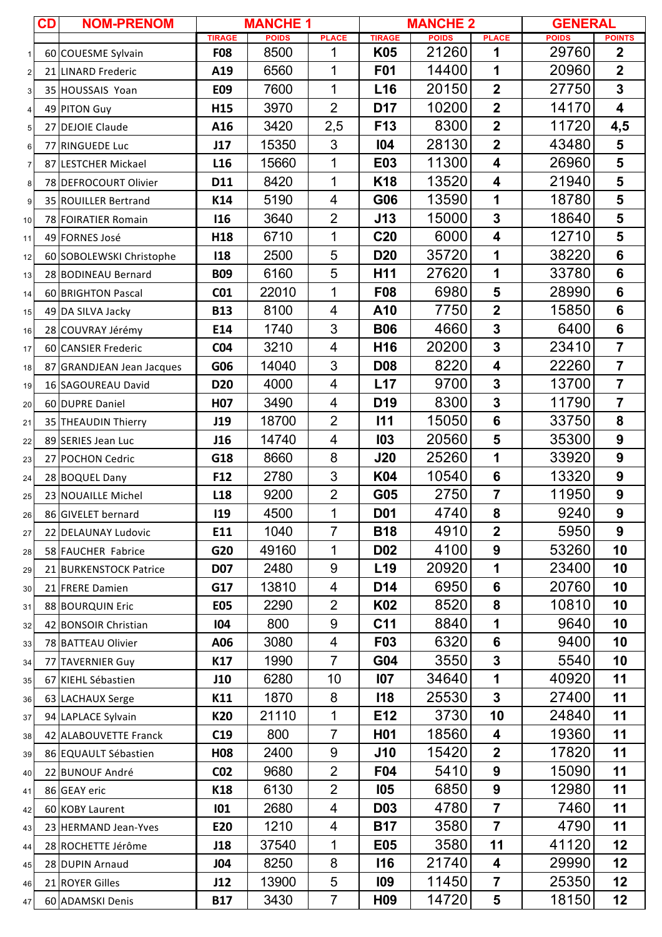|                | CD | <b>NOM-PRENOM</b>             | <b>MANCHE 1</b>  |              |                         |                  | <b>MANCHE 2</b> | <b>GENERAL</b>          |              |                         |
|----------------|----|-------------------------------|------------------|--------------|-------------------------|------------------|-----------------|-------------------------|--------------|-------------------------|
|                |    |                               | <b>TIRAGE</b>    | <b>POIDS</b> | <b>PLACE</b>            | <b>TIRAGE</b>    | <b>POIDS</b>    | <b>PLACE</b>            | <b>POIDS</b> | <b>POINTS</b>           |
| $\mathbf{1}$   |    | 60 COUESME Sylvain            | <b>F08</b>       | 8500         | 1                       | K05              | 21260           | 1                       | 29760        | $\mathbf 2$             |
| $\overline{c}$ |    | 21 LINARD Frederic            | A19              | 6560         | 1                       | <b>F01</b>       | 14400           | 1                       | 20960        | $\overline{2}$          |
| 3              |    | 35 HOUSSAIS Yoan              | E09              | 7600         | $\mathbf{1}$            | L16              | 20150           | $\overline{\mathbf{2}}$ | 27750        | $\overline{\mathbf{3}}$ |
| 4              |    | 49 PITON Guy                  | H15              | 3970         | $\overline{2}$          | D17              | 10200           | $\overline{\mathbf{2}}$ | 14170        | $\overline{\mathbf{4}}$ |
| 5              |    | 27 DEJOIE Claude              | A16              | 3420         | 2,5                     | F <sub>13</sub>  | 8300            | $\overline{2}$          | 11720        | 4,5                     |
| 6              |    | 77 RINGUEDE Luc               | J17              | 15350        | 3                       | 104              | 28130           | $\overline{\mathbf{2}}$ | 43480        | 5                       |
| $\overline{7}$ |    | 87 LESTCHER Mickael           | L <sub>16</sub>  | 15660        | 1                       | E03              | 11300           | $\overline{\mathbf{4}}$ | 26960        | 5                       |
| 8              |    | 78 DEFROCOURT Olivier         | D11              | 8420         | 1                       | K <sub>18</sub>  | 13520           | 4                       | 21940        | 5                       |
| 9              |    | 35 ROUILLER Bertrand          | K14              | 5190         | $\overline{4}$          | G06              | 13590           | 1                       | 18780        | 5                       |
| 10             |    | 78 FOIRATIER Romain           | 116              | 3640         | $\overline{2}$          | <b>J13</b>       | 15000           | $\overline{\mathbf{3}}$ | 18640        | 5                       |
| 11             |    | 49 FORNES José                | H <sub>18</sub>  | 6710         | 1                       | C <sub>20</sub>  | 6000            | $\overline{\mathbf{4}}$ | 12710        | 5                       |
| 12             |    | 60 SOBOLEWSKI Christophe      | <b>118</b>       | 2500         | 5                       | D <sub>20</sub>  | 35720           | 1                       | 38220        | 6                       |
| 13             |    | 28 BODINEAU Bernard           | <b>B09</b>       | 6160         | 5                       | H <sub>11</sub>  | 27620           | 1                       | 33780        | 6                       |
| 14             |    | 60 BRIGHTON Pascal            | CO <sub>1</sub>  | 22010        | 1                       | F <sub>08</sub>  | 6980            | 5                       | 28990        | 6                       |
| 15             |    | 49 DA SILVA Jacky             | <b>B13</b>       | 8100         | $\overline{\mathbf{4}}$ | A10              | 7750            | $\overline{\mathbf{2}}$ | 15850        | 6                       |
| 16             |    | 28 COUVRAY Jérémy             | E14              | 1740         | 3                       | <b>B06</b>       | 4660            | $\overline{\mathbf{3}}$ | 6400         | 6                       |
| 17             |    | 60 CANSIER Frederic           | CO <sub>4</sub>  | 3210         | $\overline{\mathbf{4}}$ | H <sub>16</sub>  | 20200           | 3                       | 23410        | $\overline{7}$          |
| 18             | 87 | <b>GRANDJEAN Jean Jacques</b> | G06              | 14040        | 3                       | <b>D08</b>       | 8220            | $\overline{\mathbf{4}}$ | 22260        | $\overline{7}$          |
| 19             |    | 16 SAGOUREAU David            | <b>D20</b>       | 4000         | $\overline{\mathbf{4}}$ | L17              | 9700            | 3                       | 13700        | $\overline{7}$          |
| 20             |    | 60 DUPRE Daniel               | H <sub>0</sub> 7 | 3490         | $\overline{\mathbf{4}}$ | D <sub>19</sub>  | 8300            | $\mathbf{3}$            | 11790        | $\overline{7}$          |
| 21             |    | 35 THEAUDIN Thierry           | J19              | 18700        | $\overline{2}$          | 111              | 15050           | $6\phantom{a}$          | 33750        | 8                       |
| 22             |    | 89 SERIES Jean Luc            | J16              | 14740        | 4                       | 103              | 20560           | 5                       | 35300        | $\boldsymbol{9}$        |
| 23             |    | 27 POCHON Cedric              | G18              | 8660         | 8                       | J20              | 25260           | 1                       | 33920        | $\boldsymbol{9}$        |
| 24             |    | 28 BOQUEL Dany                | F <sub>12</sub>  | 2780         | 3                       | K04              | 10540           | $6\phantom{1}$          | 13320        | $\boldsymbol{9}$        |
| 25             |    | 23 NOUAILLE Michel            | L <sub>18</sub>  | 9200         | $\overline{2}$          | G05              | 2750            | $\overline{7}$          | 11950        | $\boldsymbol{9}$        |
| 26             |    | 86 GIVELET bernard            | <b>I19</b>       | 4500         | 1                       | D <sub>0</sub> 1 | 4740            | 8                       | 9240         | 9                       |
| 27             |    | 22 DELAUNAY Ludovic           | E11              | 1040         | $\overline{7}$          | <b>B18</b>       | 4910            | $\overline{\mathbf{2}}$ | 5950         | 9                       |
| 28             |    | 58 FAUCHER Fabrice            | G20              | 49160        | 1                       | <b>D02</b>       | 4100            | $\boldsymbol{9}$        | 53260        | 10                      |
| 29             |    | 21 BURKENSTOCK Patrice        | <b>D07</b>       | 2480         | $\boldsymbol{9}$        | L <sub>19</sub>  | 20920           | 1                       | 23400        | 10                      |
| 30             |    | 21 FRERE Damien               | G17              | 13810        | 4                       | D14              | 6950            | 6                       | 20760        | 10                      |
| 31             |    | 88 BOURQUIN Eric              | <b>E05</b>       | 2290         | $\overline{2}$          | K02              | 8520            | 8                       | 10810        | 10                      |
| 32             |    | 42 BONSOIR Christian          | 104              | 800          | $9$                     | C11              | 8840            | 1                       | 9640         | 10                      |
| 33             |    | 78 BATTEAU Olivier            | A06              | 3080         | $\overline{4}$          | F03              | 6320            | 6                       | 9400         | 10                      |
| 34             |    | 77 TAVERNIER Guy              | K17              | 1990         | $\overline{7}$          | G04              | 3550            | 3                       | 5540         | 10                      |
| 35             |    | 67 KIEHL Sébastien            | J10              | 6280         | 10                      | 107              | 34640           | 1                       | 40920        | 11                      |
| 36             |    | 63 LACHAUX Serge              | K11              | 1870         | 8                       | <b>I18</b>       | 25530           | 3                       | 27400        | 11                      |
| 37             |    | 94 LAPLACE Sylvain            | K20              | 21110        | 1                       | E12              | 3730            | 10                      | 24840        | 11                      |
| 38             |    | 42 ALABOUVETTE Franck         | C19              | 800          | $\overline{7}$          | H <sub>0</sub> 1 | 18560           | 4                       | 19360        | 11                      |
| 39             |    | 86 EQUAULT Sébastien          | <b>H08</b>       | 2400         | $9$                     | <b>J10</b>       | 15420           | $\overline{\mathbf{2}}$ | 17820        | 11                      |
| 40             |    | 22 BUNOUF André               | CO <sub>2</sub>  | 9680         | $\overline{2}$          | F04              | 5410            | $\boldsymbol{9}$        | 15090        | 11                      |
| 41             |    | 86 GEAY eric                  | K18              | 6130         | $\overline{2}$          | <b>105</b>       | 6850            | $\boldsymbol{9}$        | 12980        | 11                      |
| 42             |    | 60 KOBY Laurent               | 101              | 2680         | $\overline{\mathbf{4}}$ | <b>D03</b>       | 4780            | $\overline{7}$          | 7460         | 11                      |
| 43             |    | 23 HERMAND Jean-Yves          | E20              | 1210         | 4                       | <b>B17</b>       | 3580            | $\overline{7}$          | 4790         | 11                      |
| 44             |    | 28 ROCHETTE Jérôme            | J18              | 37540        | 1                       | <b>E05</b>       | 3580            | 11                      | 41120        | 12                      |
| 45             |    | 28 DUPIN Arnaud               | <b>J04</b>       | 8250         | 8                       | <b>I16</b>       | 21740           | 4                       | 29990        | 12                      |
| 46             |    | 21 ROYER Gilles               | J12              | 13900        | 5                       | <b>109</b>       | 11450           | $\overline{7}$          | 25350        | 12                      |
| 47             |    | 60 ADAMSKI Denis              | <b>B17</b>       | 3430         | $\overline{7}$          | H <sub>09</sub>  | 14720           | 5                       | 18150        | 12                      |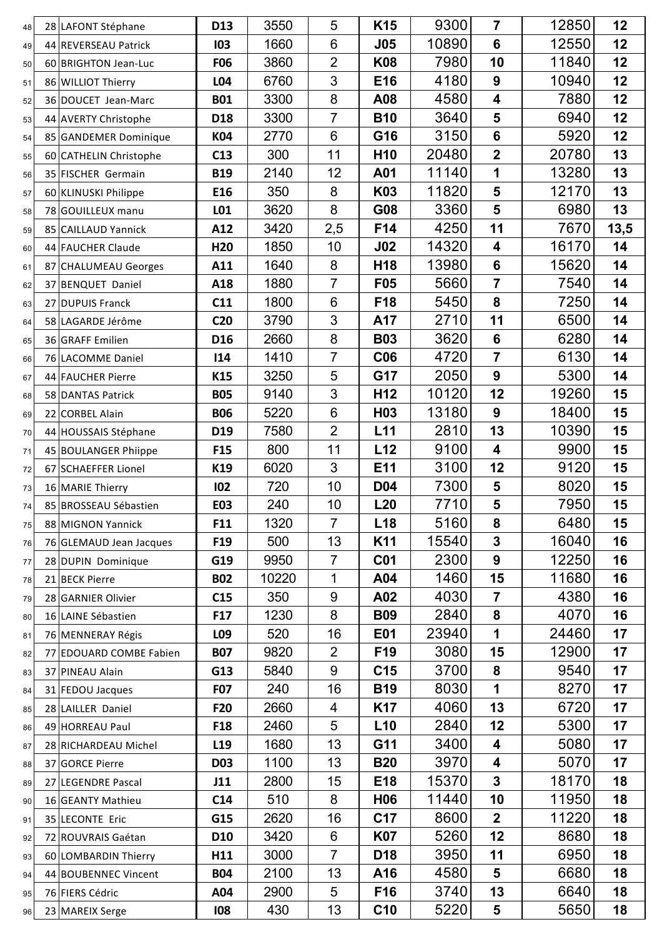| 48       | 28 LAFONT Stéphane                         | D <sub>13</sub> | 3550        | 5                    | K <sub>15</sub> | 9300         | $\overline{7}$                | 12850         | 12       |
|----------|--------------------------------------------|-----------------|-------------|----------------------|-----------------|--------------|-------------------------------|---------------|----------|
| 49       | 44 REVERSEAU Patrick                       | 103             | 1660        | $6\phantom{1}6$      | <b>J05</b>      | 10890        | $6\phantom{1}$                | 12550         | 12       |
| 50       | 60 BRIGHTON Jean-Luc                       | <b>F06</b>      | 3860        | $\overline{2}$       | <b>K08</b>      | 7980         | 10                            | 11840         | 12       |
| 51       | 86 WILLIOT Thierry                         | L04             | 6760        | 3                    | E16             | 4180         | $\boldsymbol{9}$              | 10940         | 12       |
| 52       | 36 DOUCET Jean-Marc                        | <b>B01</b>      | 3300        | 8                    | A08             | 4580         | $\overline{\mathbf{4}}$       | 7880          | 12       |
| 53       | 44 AVERTY Christophe                       | D <sub>18</sub> | 3300        | 7                    | <b>B10</b>      | 3640         | 5                             | 6940          | 12       |
| 54       | 85 GANDEMER Dominique                      | K04             | 2770        | 6                    | G16             | 3150         | $6\phantom{a}$                | 5920          | 12       |
| 55       | 60 CATHELIN Christophe                     | C13             | 300         | 11                   | H <sub>10</sub> | 20480        | $\overline{2}$                | 20780         | 13       |
| 56       | 35 FISCHER Germain                         | <b>B19</b>      | 2140        | 12                   | A01             | 11140        | 1                             | 13280         | 13       |
| 57       | 60 KLINUSKI Philippe                       | E16             | 350         | 8                    | K03             | 11820        | 5                             | 12170         | 13       |
| 58       | 78 GOUILLEUX manu                          | L01             | 3620        | 8                    | G08             | 3360         | 5                             | 6980          | 13       |
| 59       | 85 CAILLAUD Yannick                        | A12             | 3420        | 2,5                  | F14             | 4250         | 11                            | 7670          | 13,5     |
| 60       | 44 FAUCHER Claude                          | H <sub>20</sub> | 1850        | 10                   | J <sub>02</sub> | 14320        | $\overline{\mathbf{4}}$       | 16170         | 14       |
| 61       | 87 CHALUMEAU Georges                       | A11             | 1640        | 8                    | H <sub>18</sub> | 13980        | $6\phantom{a}$                | 15620         | 14       |
| 62       | 37 BENQUET Daniel                          | A18             | 1880        | $\overline{7}$       | F05             | 5660         | $\overline{7}$                | 7540          | 14       |
| 63       | 27 DUPUIS Franck                           | C11             | 1800        | $6\phantom{1}6$      | F18             | 5450         | 8                             | 7250          | 14       |
| 64       | 58 LAGARDE Jérôme                          | <b>C20</b>      | 3790        | 3                    | A17             | 2710         | 11                            | 6500          | 14       |
| 65       | 36 GRAFF Emilien                           | D <sub>16</sub> | 2660        | 8                    | <b>B03</b>      | 3620         | $6\phantom{a}$                | 6280          | 14       |
| 66       | 76 LACOMME Daniel                          | 114             | 1410        | $\overline{7}$       | <b>C06</b>      | 4720         | $\overline{7}$                | 6130          | 14       |
| 67       | 44 FAUCHER Pierre                          | K15             | 3250        | 5                    | G17             | 2050         | $\boldsymbol{9}$              | 5300          | 14       |
| 68       | 58 DANTAS Patrick                          | <b>B05</b>      | 9140        | 3                    | H <sub>12</sub> | 10120        | 12                            | 19260         | 15       |
| 69       | 22 CORBEL Alain                            | <b>B06</b>      | 5220        | $6\phantom{1}6$      | H <sub>03</sub> | 13180        | 9                             | 18400         | 15       |
| 70       | 44 HOUSSAIS Stéphane                       | D19             | 7580        | $\overline{2}$<br>11 | L11             | 2810<br>9100 | 13<br>$\overline{\mathbf{4}}$ | 10390<br>9900 | 15       |
| 71       | 45 BOULANGER Phiippe                       | F <sub>15</sub> | 800<br>6020 | 3                    | L12<br>E11      | 3100         | 12                            | 9120          | 15<br>15 |
| 72       | 67 SCHAEFFER Lionel                        | K19<br>102      | 720         | 10                   | <b>D04</b>      | 7300         | 5                             | 8020          | 15       |
| 73       | 16 MARIE Thierry                           | E03             | 240         | 10                   | L20             | 7710         | 5                             | 7950          | 15       |
| 74       | 85 BROSSEAU Sébastien<br>88 MIGNON Yannick | F11             | 1320        | $\overline{7}$       | L <sub>18</sub> | 5160         | 8                             | 6480          | 15       |
| 75<br>76 | 76 GLEMAUD Jean Jacques                    | F <sub>19</sub> | 500         | 13                   | K11             | 15540        | $\overline{\mathbf{3}}$       | 16040         | 16       |
| 77       | 28 DUPIN Dominique                         | G19             | 9950        | $\overline{7}$       | <b>C01</b>      | 2300         | 9                             | 12250         | 16       |
| 78       | 21 BECK Pierre                             | <b>B02</b>      | 10220       | 1                    | A04             | 1460         | 15                            | 11680         | 16       |
| 79       | 28 GARNIER Olivier                         | C15             | 350         | 9                    | A02             | 4030         | $\overline{7}$                | 4380          | 16       |
| 80       | 16 LAINE Sébastien                         | F17             | 1230        | 8                    | <b>B09</b>      | 2840         | 8                             | 4070          | 16       |
| 81       | 76 MENNERAY Régis                          | L09             | 520         | 16                   | E01             | 23940        |                               | 24460         | 17       |
| 82       | 77 EDOUARD COMBE Fabien                    | <b>B07</b>      | 9820        | $\overline{2}$       | F <sub>19</sub> | 3080         | 15                            | 12900         | 17       |
| 83       | 37 PINEAU Alain                            | G13             | 5840        | 9                    | C <sub>15</sub> | 3700         | 8                             | 9540          | 17       |
| 84       | 31 FEDOU Jacques                           | <b>F07</b>      | 240         | 16                   | <b>B19</b>      | 8030         | 1                             | 8270          | 17       |
| 85       | 28 LAILLER Daniel                          | F <sub>20</sub> | 2660        | 4                    | K <sub>17</sub> | 4060         | 13                            | 6720          | 17       |
| 86       | 49 HORREAU Paul                            | F <sub>18</sub> | 2460        | 5                    | L10             | 2840         | 12                            | 5300          | 17       |
| 87       | 28 RICHARDEAU Michel                       | L <sub>19</sub> | 1680        | 13                   | G11             | 3400         | 4                             | 5080          | 17       |
| 88       | 37 GORCE Pierre                            | <b>D03</b>      | 1100        | 13                   | <b>B20</b>      | 3970         | $\overline{\mathbf{4}}$       | 5070          | 17       |
| 89       | 27 LEGENDRE Pascal                         | J11             | 2800        | 15                   | E18             | 15370        | 3                             | 18170         | 18       |
| 90       | 16 GEANTY Mathieu                          | C <sub>14</sub> | 510         | 8                    | H <sub>06</sub> | 11440        | 10                            | 11950         | 18       |
| 91       | 35 LECONTE Eric                            | G15             | 2620        | 16                   | C <sub>17</sub> | 8600         | $\overline{\mathbf{2}}$       | 11220         | 18       |
| 92       | 72 ROUVRAIS Gaétan                         | <b>D10</b>      | 3420        | 6                    | <b>K07</b>      | 5260         | 12                            | 8680          | 18       |
| 93       | 60 LOMBARDIN Thierry                       | H11             | 3000        | $\overline{7}$       | D <sub>18</sub> | 3950         | 11                            | 6950          | 18       |
| 94       | 44 BOUBENNEC Vincent                       | <b>B04</b>      | 2100        | 13                   | A16             | 4580         | 5                             | 6680          | 18       |
| 95       | 76 FIERS Cédric                            | A04             | 2900        | 5                    | F16             | 3740         | 13                            | 6640          | 18       |
| 96       | 23 MAREIX Serge                            | 108             | 430         | 13                   | C <sub>10</sub> | 5220         | 5                             | 5650          | 18       |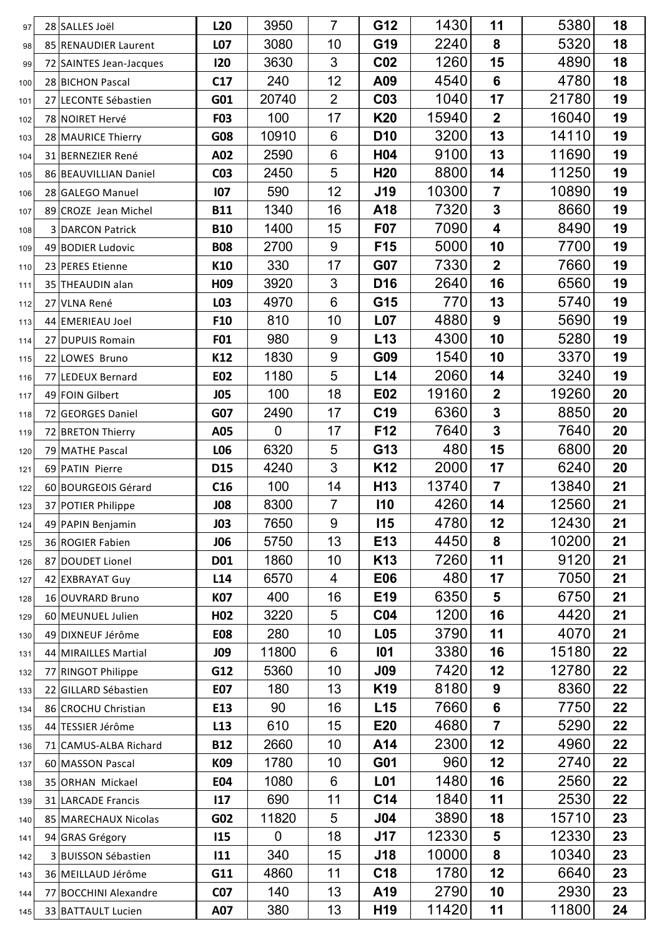| 97         |    | 28 SALLES Joël                            | L <sub>20</sub>          | 3950           | $\overline{7}$   | G12                                | 1430        | 11                      | 5380         | 18       |
|------------|----|-------------------------------------------|--------------------------|----------------|------------------|------------------------------------|-------------|-------------------------|--------------|----------|
| 98         |    | 85 RENAUDIER Laurent                      | L07                      | 3080           | 10               | G19                                | 2240        | 8                       | 5320         | 18       |
| 99         |    | 72 SAINTES Jean-Jacques                   | 120                      | 3630           | 3                | <b>C02</b>                         | 1260        | 15                      | 4890         | 18       |
| 100        |    | 28 BICHON Pascal                          | C17                      | 240            | 12               | A09                                | 4540        | $6\phantom{a}$          | 4780         | 18       |
| 101        | 27 | LECONTE Sébastien                         | G01                      | 20740          | $\overline{2}$   | C <sub>03</sub>                    | 1040        | 17                      | 21780        | 19       |
| 102        |    | 78 NOIRET Hervé                           | <b>F03</b>               | 100            | 17               | K20                                | 15940       | $\mathbf 2$             | 16040        | 19       |
| 103        |    | 28 MAURICE Thierry                        | G08                      | 10910          | 6                | D <sub>10</sub>                    | 3200        | 13                      | 14110        | 19       |
| 104        |    | 31 BERNEZIER René                         | A02                      | 2590           | 6                | H04                                | 9100        | 13                      | 11690        | 19       |
| 105        |    | 86 BEAUVILLIAN Daniel                     | <b>CO3</b>               | 2450           | 5                | H <sub>20</sub>                    | 8800        | 14                      | 11250        | 19       |
| 106        |    | 28 GALEGO Manuel                          | 107                      | 590            | 12               | <b>J19</b>                         | 10300       | 7                       | 10890        | 19       |
| 107        |    | 89 CROZE Jean Michel                      | <b>B11</b>               | 1340           | 16               | A18                                | 7320        | 3                       | 8660         | 19       |
| 108        |    | 3 DARCON Patrick                          | <b>B10</b>               | 1400           | 15               | F07                                | 7090        | 4                       | 8490         | 19       |
| 109        |    | 49 BODIER Ludovic                         | <b>B08</b>               | 2700           | 9                | F15                                | 5000        | 10                      | 7700         | 19       |
| 110        |    | 23 PERES Etienne                          | K10                      | 330            | 17               | <b>G07</b>                         | 7330        | $\overline{\mathbf{2}}$ | 7660         | 19       |
| 111        |    | 35 THEAUDIN alan                          | H <sub>09</sub>          | 3920           | 3                | D <sub>16</sub>                    | 2640        | 16                      | 6560         | 19       |
| 112        |    | 27 VLNA René                              | L03                      | 4970           | 6                | G15                                | 770         | 13                      | 5740         | 19       |
| 113        |    | 44 EMERIEAU Joel                          | F10                      | 810            | 10               | L <sub>07</sub>                    | 4880        | $\boldsymbol{9}$        | 5690         | 19       |
| 114        | 27 | <b>DUPUIS Romain</b>                      | F01                      | 980            | 9                | L13                                | 4300        | 10                      | 5280         | 19       |
| 115        |    | 22 LOWES Bruno                            | K12                      | 1830           | $\boldsymbol{9}$ | G09                                | 1540        | 10                      | 3370         | 19       |
| 116        |    | 77 LEDEUX Bernard                         | E02                      | 1180           | 5                | L14                                | 2060        | 14                      | 3240         | 19       |
| 117        |    | 49 FOIN Gilbert                           | <b>JO5</b>               | 100            | 18               | E02                                | 19160       | $\overline{\mathbf{2}}$ | 19260        | 20       |
| 118        |    | 72 GEORGES Daniel                         | G07                      | 2490           | 17               | C <sub>19</sub>                    | 6360        | 3                       | 8850         | 20       |
| 119        |    | 72 BRETON Thierry                         | A05                      | $\overline{0}$ | 17               | F12                                | 7640        | 3                       | 7640         | 20       |
| 120        |    | 79 MATHE Pascal                           | L06                      | 6320           | 5                | G13                                | 480         | 15                      | 6800         | 20       |
| 121        |    | 69 PATIN Pierre                           | D15                      | 4240           | 3                | K <sub>12</sub>                    | 2000        | 17                      | 6240         | 20       |
| 122        |    | 60 BOURGEOIS Gérard                       | C16                      | 100            | 14               | H <sub>13</sub>                    | 13740       | $\overline{7}$          | 13840        | 21       |
| 123        |    | 37 POTIER Philippe                        | <b>JO8</b>               | 8300           | $\overline{7}$   | <b>I10</b>                         | 4260        | 14                      | 12560        | 21       |
| 124        |    | 49 PAPIN Benjamin                         | <b>JO3</b>               | 7650           | 9                | <b>I15</b>                         | 4780        | 12                      | 12430        | 21       |
| 125        |    | 36 ROGIER Fabien                          | <b>JO6</b>               | 5750           | 13               | E13                                | 4450        | 8                       | 10200        | 21       |
| 126        | 87 | DOUDET Lionel                             | D01                      | 1860           | 10               | K <sub>13</sub>                    | 7260        | 11                      | 9120         | 21       |
| 127        |    | 42 EXBRAYAT Guy                           | L <sub>14</sub>          | 6570           | 4                | <b>E06</b>                         | 480<br>6350 | 17                      | 7050<br>6750 | 21       |
| 128        |    | 16 OUVRARD Bruno                          | K07                      | 400            | 16<br>5          | E <sub>19</sub><br>CO <sub>4</sub> | 1200        | 5<br>16                 | 4420         | 21<br>21 |
| 129        |    | 60 MEUNUEL Julien                         | H <sub>0</sub> 2         | 3220<br>280    | 10               | L05                                | 3790        | 11                      | 4070         | 21       |
| 130        |    | 49 DIXNEUF Jérôme<br>44 MIRAILLES Martial | <b>E08</b><br><b>JO9</b> | 11800          | 6                | <b>101</b>                         | 3380        | 16                      | 15180        | 22       |
| 131        | 77 | <b>RINGOT Philippe</b>                    | G12                      | 5360           | 10               | <b>J09</b>                         | 7420        | 12                      | 12780        | 22       |
| 132<br>133 |    | 22 GILLARD Sébastien                      | <b>E07</b>               | 180            | 13               | K <sub>19</sub>                    | 8180        | 9                       | 8360         | 22       |
| 134        |    | 86 CROCHU Christian                       | E13                      | 90             | 16               | L15                                | 7660        | 6                       | 7750         | 22       |
| 135        | 44 | TESSIER Jérôme                            | L <sub>13</sub>          | 610            | 15               | E20                                | 4680        | $\overline{7}$          | 5290         | 22       |
| 136        | 71 | <b>CAMUS-ALBA Richard</b>                 | <b>B12</b>               | 2660           | 10               | A14                                | 2300        | 12                      | 4960         | 22       |
| 137        |    | 60 MASSON Pascal                          | K09                      | 1780           | 10               | G01                                | 960         | 12                      | 2740         | 22       |
| 138        | 35 | <b>ORHAN Mickael</b>                      | <b>E04</b>               | 1080           | 6                | L <sub>01</sub>                    | 1480        | 16                      | 2560         | 22       |
| 139        |    | 31 LARCADE Francis                        | 117                      | 690            | 11               | C <sub>14</sub>                    | 1840        | 11                      | 2530         | 22       |
| 140        | 85 | MARECHAUX Nicolas                         | G02                      | 11820          | 5                | <b>J04</b>                         | 3890        | 18                      | 15710        | 23       |
| 141        |    | 94 GRAS Grégory                           | <b>I15</b>               | $\mathbf 0$    | 18               | J17                                | 12330       | 5                       | 12330        | 23       |
| 142        |    | 3 BUISSON Sébastien                       | 111                      | 340            | 15               | <b>J18</b>                         | 10000       | 8                       | 10340        | 23       |
| 143        |    | 36 MEILLAUD Jérôme                        | G11                      | 4860           | 11               | C <sub>18</sub>                    | 1780        | 12                      | 6640         | 23       |
| 144        | 77 | <b>BOCCHINI Alexandre</b>                 | CO <sub>7</sub>          | 140            | 13               | A19                                | 2790        | 10                      | 2930         | 23       |
| 145        |    | 33 BATTAULT Lucien                        | A07                      | 380            | 13               | H <sub>19</sub>                    | 11420       | 11                      | 11800        | 24       |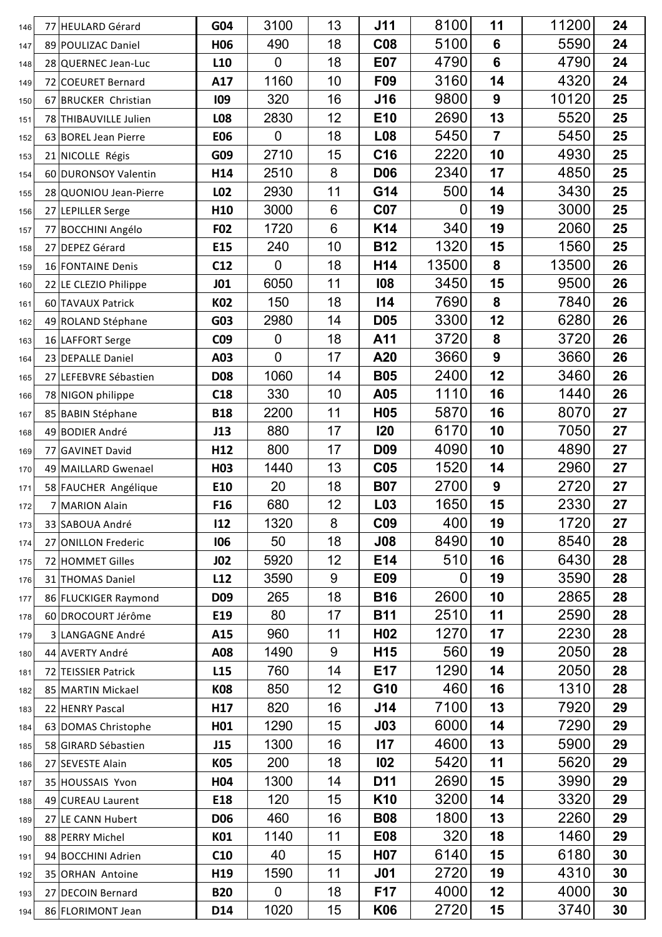| 146 |    | 77 HEULARD Gérard      | G04             | 3100             | 13             | <b>J11</b>      | 8100           | 11              | 11200 | 24 |
|-----|----|------------------------|-----------------|------------------|----------------|-----------------|----------------|-----------------|-------|----|
| 147 |    | 89 POULIZAC Daniel     | H <sub>06</sub> | 490              | 18             | <b>C08</b>      | 5100           | $6\phantom{1}6$ | 5590  | 24 |
| 148 |    | 28 QUERNEC Jean-Luc    | L <sub>10</sub> | $\mathbf 0$      | 18             | <b>E07</b>      | 4790           | $6\phantom{1}$  | 4790  | 24 |
| 149 |    | 72 COEURET Bernard     | A17             | 1160             | 10             | F09             | 3160           | 14              | 4320  | 24 |
| 150 |    | 67 BRUCKER Christian   | 109             | 320              | 16             | <b>J16</b>      | 9800           | 9               | 10120 | 25 |
| 151 |    | 78 THIBAUVILLE Julien  | L08             | 2830             | 12             | E10             | 2690           | 13              | 5520  | 25 |
| 152 |    | 63 BOREL Jean Pierre   | <b>E06</b>      | $\boldsymbol{0}$ | 18             | L <sub>08</sub> | 5450           | $\overline{7}$  | 5450  | 25 |
| 153 |    | 21 NICOLLE Régis       | G09             | 2710             | 15             | C <sub>16</sub> | 2220           | 10              | 4930  | 25 |
| 154 |    | 60 DURONSOY Valentin   | H14             | 2510             | 8              | <b>D06</b>      | 2340           | 17              | 4850  | 25 |
| 155 |    | 28 QUONIOU Jean-Pierre | L02             | 2930             | 11             | G14             | 500            | 14              | 3430  | 25 |
| 156 |    | 27 LEPILLER Serge      | H <sub>10</sub> | 3000             | $6\phantom{1}$ | <b>C07</b>      | 0              | 19              | 3000  | 25 |
| 157 |    | 77 BOCCHINI Angélo     | F02             | 1720             | 6              | K14             | 340            | 19              | 2060  | 25 |
| 158 | 27 | <b>DEPEZ Gérard</b>    | E15             | 240              | 10             | <b>B12</b>      | 1320           | 15              | 1560  | 25 |
| 159 |    | 16 FONTAINE Denis      | C12             | 0                | 18             | H14             | 13500          | 8               | 13500 | 26 |
| 160 |    | 22 LE CLEZIO Philippe  | <b>JO1</b>      | 6050             | 11             | 108             | 3450           | 15              | 9500  | 26 |
| 161 |    | 60 TAVAUX Patrick      | K02             | 150              | 18             | 114             | 7690           | 8               | 7840  | 26 |
| 162 |    | 49 ROLAND Stéphane     | G03             | 2980             | 14             | <b>D05</b>      | 3300           | 12              | 6280  | 26 |
| 163 |    | 16 LAFFORT Serge       | C <sub>09</sub> | 0                | 18             | A11             | 3720           | 8               | 3720  | 26 |
| 164 |    | 23 DEPALLE Daniel      | A03             | $\overline{0}$   | 17             | A20             | 3660           | 9               | 3660  | 26 |
| 165 |    | 27 LEFEBVRE Sébastien  | <b>D08</b>      | 1060             | 14             | <b>B05</b>      | 2400           | 12              | 3460  | 26 |
| 166 |    | 78 NIGON philippe      | C18             | 330              | 10             | A05             | 1110           | 16              | 1440  | 26 |
| 167 |    | 85 BABIN Stéphane      | <b>B18</b>      | 2200             | 11             | H <sub>05</sub> | 5870           | 16              | 8070  | 27 |
| 168 |    | 49 BODIER André        | J13             | 880              | 17             | <b>120</b>      | 6170           | 10              | 7050  | 27 |
| 169 |    | 77 GAVINET David       | H <sub>12</sub> | 800              | 17             | <b>D09</b>      | 4090           | 10              | 4890  | 27 |
| 170 |    | 49 MAILLARD Gwenael    | H <sub>03</sub> | 1440             | 13             | C <sub>05</sub> | 1520           | 14              | 2960  | 27 |
| 171 |    | 58 FAUCHER Angélique   | E10             | 20               | 18             | <b>B07</b>      | 2700           | 9               | 2720  | 27 |
| 172 |    | 7 MARION Alain         | F <sub>16</sub> | 680              | 12             | L <sub>03</sub> | 1650           | 15              | 2330  | 27 |
| 173 |    | 33 SABOUA André        | 112             | 1320             | 8              | C <sub>09</sub> | 400            | 19              | 1720  | 27 |
| 174 |    | 27 ONILLON Frederic    | 106             | 50               | 18             | J08             | 8490           | 10              | 8540  | 28 |
| 175 |    | 72 HOMMET Gilles       | <b>JO2</b>      | 5920             | 12             | E14             | 510            | 16              | 6430  | 28 |
| 176 |    | 31 THOMAS Daniel       | L <sub>12</sub> | 3590             | 9              | E09             | $\overline{0}$ | 19              | 3590  | 28 |
| 177 |    | 86 FLUCKIGER Raymond   | D <sub>09</sub> | 265              | 18             | <b>B16</b>      | 2600           | 10              | 2865  | 28 |
| 178 |    | 60 DROCOURT Jérôme     | E19             | 80               | 17             | <b>B11</b>      | 2510           | 11              | 2590  | 28 |
| 179 |    | 3 LANGAGNE André       | A15             | 960              | 11             | H <sub>02</sub> | 1270           | 17              | 2230  | 28 |
| 180 |    | 44 AVERTY André        | A08             | 1490             | 9              | H <sub>15</sub> | 560            | 19              | 2050  | 28 |
| 181 |    | 72 TEISSIER Patrick    | L <sub>15</sub> | 760              | 14             | E17             | 1290           | 14              | 2050  | 28 |
| 182 |    | 85 MARTIN Mickael      | K08             | 850              | 12             | G10             | 460            | 16              | 1310  | 28 |
| 183 |    | 22 HENRY Pascal        | H <sub>17</sub> | 820              | 16             | J14             | 7100           | 13              | 7920  | 29 |
| 184 |    | 63 DOMAS Christophe    | H01             | 1290             | 15             | J <sub>03</sub> | 6000           | 14              | 7290  | 29 |
| 185 |    | 58 GIRARD Sébastien    | J15             | 1300             | 16             | 117             | 4600           | 13              | 5900  | 29 |
| 186 |    | 27 SEVESTE Alain       | K05             | 200              | 18             | 102             | 5420           | 11              | 5620  | 29 |
| 187 |    | 35 HOUSSAIS Yvon       | H <sub>04</sub> | 1300             | 14             | D11             | 2690           | 15              | 3990  | 29 |
| 188 |    | 49 CUREAU Laurent      | E18             | 120              | 15             | K10             | 3200           | 14              | 3320  | 29 |
| 189 |    | 27 LE CANN Hubert      | D <sub>06</sub> | 460              | 16             | <b>B08</b>      | 1800           | 13              | 2260  | 29 |
| 190 |    | 88 PERRY Michel        | K01             | 1140             | 11             | <b>E08</b>      | 320            | 18              | 1460  | 29 |
| 191 |    | 94 BOCCHINI Adrien     | C10             | 40               | 15             | H07             | 6140           | 15              | 6180  | 30 |
| 192 |    | 35 ORHAN Antoine       | H19             | 1590             | 11             | <b>J01</b>      | 2720           | 19              | 4310  | 30 |
| 193 | 27 | <b>DECOIN Bernard</b>  | <b>B20</b>      | 0                | 18             | F17             | 4000           | 12              | 4000  | 30 |
| 194 |    | 86 FLORIMONT Jean      | D14             | 1020             | 15             | K06             | 2720           | 15              | 3740  | 30 |